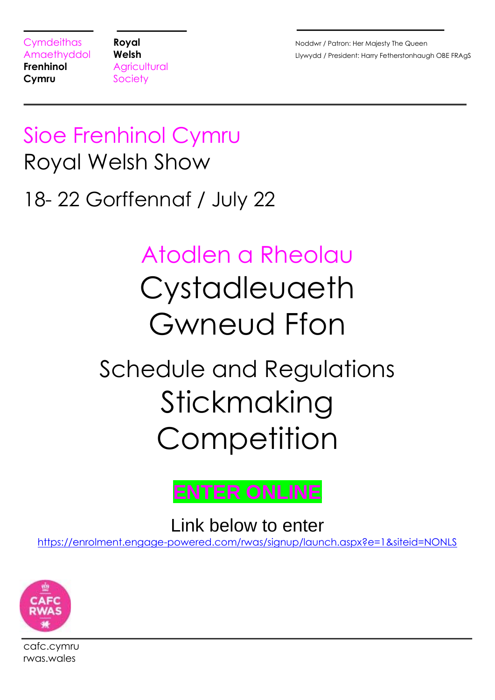**Frenhinol** Agricultural **Cymru** Society

Cymdeithas **Royal Royal Royal Royal Royal Royal** *Royal* **<b>Royal Royal Royal Royal Royal Royal Royal Royal Royal Royal Royal Royal Royal Royal Royal Royal Royal Royal Royal Roy** Amaethyddol Welsh **Welsh David Charles Control Charles Charles Charles Amaethydd / President: Harry Fetherstonhaugh OBE FRAgS** 

# Sioe Frenhinol Cymru Royal Welsh Show

# 18- 22 Gorffennaf / July 22

# Atodlen a Rheolau Cystadleuaeth Gwneud Ffon

# Schedule and Regulations Stickmaking **Competition**



Link below to enter

[https://enrolment.engage-powered.com/rwas/signup/launch.aspx?e=1&siteid=NONLS](https://protect-eu.mimecast.com/s/QSAyCr8gnhDm6pF7s4F0)



cafc.cymru rwas.wales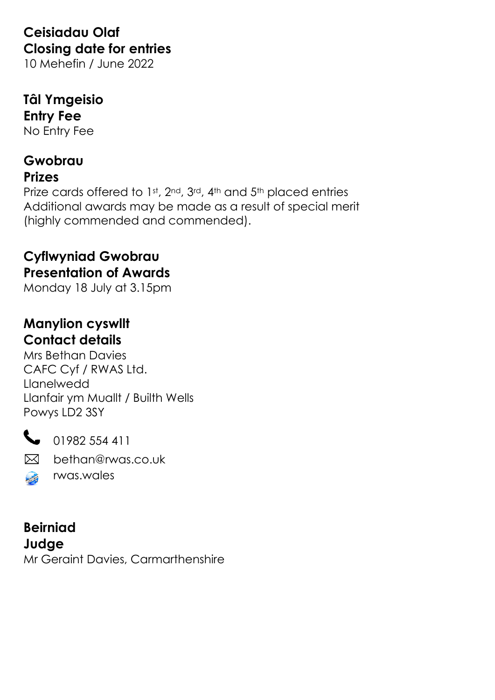### **Ceisiadau Olaf Closing date for entries**

10 Mehefin / June 2022

## **Tâl Ymgeisio Entry Fee**

No Entry Fee

## **Gwobrau**

#### **Prizes**

Prize cards offered to 1st, 2nd, 3rd, 4th and 5th placed entries Additional awards may be made as a result of special merit (highly commended and commended).

#### **Cyflwyniad Gwobrau Presentation of Awards**

Monday 18 July at 3.15pm

#### **Manylion cyswllt Contact details**

Mrs Bethan Davies CAFC Cyf / RWAS Ltd. Llanelwedd Llanfair ym Muallt / Builth Wells Powys LD2 3SY



01982 554 411

 $\boxtimes$ bethan@rwas.co.uk

rwas.wales **Contract Contract Contract** 

**Beirniad Judge** Mr Geraint Davies, Carmarthenshire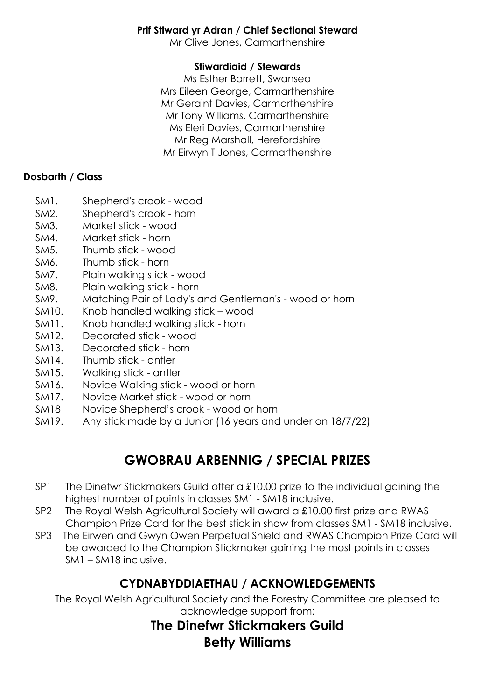#### **Prif Stiward yr Adran / Chief Sectional Steward**

Mr Clive Jones, Carmarthenshire

#### **Stiwardiaid / Stewards**

Ms Esther Barrett, Swansea Mrs Eileen George, Carmarthenshire Mr Geraint Davies, Carmarthenshire Mr Tony Williams, Carmarthenshire Ms Eleri Davies, Carmarthenshire Mr Reg Marshall, Herefordshire Mr Eirwyn T Jones, Carmarthenshire

#### **Dosbarth / Class**

- SM1. Shepherd's crook wood
- SM2. Shepherd's crook horn
- SM3. Market stick wood
- SM4. Market stick horn
- SM5. Thumb stick wood
- SM6. Thumb stick horn
- SM7. Plain walking stick wood
- SM8. Plain walking stick horn
- SM9. Matching Pair of Lady's and Gentleman's wood or horn
- SM10. Knob handled walking stick wood
- SM11. Knob handled walking stick horn
- SM12. Decorated stick wood
- SM13. Decorated stick horn
- SM14. Thumb stick antler
- SM15. Walking stick antler
- SM16. Novice Walking stick wood or horn
- SM17. Novice Market stick wood or horn
- SM18 Novice Shepherd's crook wood or horn
- SM19. Any stick made by a Junior (16 years and under on 18/7/22)

#### **GWOBRAU ARBENNIG / SPECIAL PRIZES**

- SP1 The Dinefwr Stickmakers Guild offer a £10.00 prize to the individual gaining the highest number of points in classes SM1 - SM18 inclusive.
- SP2 The Royal Welsh Agricultural Society will award a £10.00 first prize and RWAS Champion Prize Card for the best stick in show from classes SM1 - SM18 inclusive.
- SP3 The Eirwen and Gwyn Owen Perpetual Shield and RWAS Champion Prize Card will be awarded to the Champion Stickmaker gaining the most points in classes SM1 – SM18 inclusive.

#### **CYDNABYDDIAETHAU / ACKNOWLEDGEMENTS**

The Royal Welsh Agricultural Society and the Forestry Committee are pleased to acknowledge support from:

#### **The Dinefwr Stickmakers Guild Betty Williams**